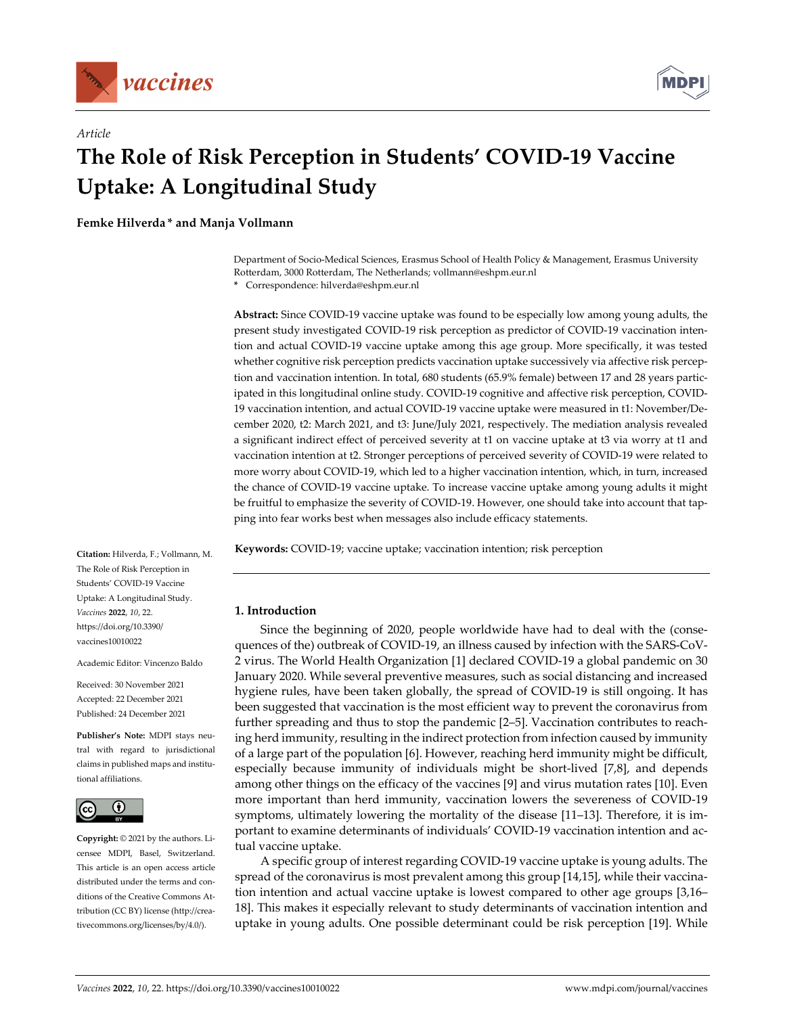

*Article*



# **The Role of Risk Perception in Students' COVID‐19 Vaccine Uptake: A Longitudinal Study**

**Femke Hilverda \* and Manja Vollmann**

Department of Socio‐Medical Sciences, Erasmus School of Health Policy & Management, Erasmus University Rotterdam, 3000 Rotterdam, The Netherlands; vollmann@eshpm.eur.nl

**\*** Correspondence: hilverda@eshpm.eur.nl

**Abstract:** Since COVID‐19 vaccine uptake was found to be especially low among young adults, the present study investigated COVID‐19 risk perception as predictor of COVID‐19 vaccination inten‐ tion and actual COVID‐19 vaccine uptake among this age group. More specifically, it was tested whether cognitive risk perception predicts vaccination uptake successively via affective risk perception and vaccination intention. In total, 680 students (65.9% female) between 17 and 28 years participated in this longitudinal online study. COVID‐19 cognitive and affective risk perception, COVID‐ 19 vaccination intention, and actual COVID‐19 vaccine uptake were measured in t1: November/De‐ cember 2020, t2: March 2021, and t3: June/July 2021, respectively. The mediation analysis revealed a significant indirect effect of perceived severity at t1 on vaccine uptake at t3 via worry at t1 and vaccination intention at t2. Stronger perceptions of perceived severity of COVID‐19 were related to more worry about COVID‐19, which led to a higher vaccination intention, which, in turn, increased the chance of COVID‐19 vaccine uptake. To increase vaccine uptake among young adults it might be fruitful to emphasize the severity of COVID-19. However, one should take into account that tapping into fear works best when messages also include efficacy statements.

**Keywords:** COVID‐19; vaccine uptake; vaccination intention; risk perception

**1. Introduction**

Since the beginning of 2020, people worldwide have had to deal with the (consequences of the) outbreak of COVID‐19, an illness caused by infection with the SARS‐CoV‐ 2 virus. The World Health Organization [1] declared COVID‐19 a global pandemic on 30 January 2020. While several preventive measures, such as social distancing and increased hygiene rules, have been taken globally, the spread of COVID‐19 is still ongoing. It has been suggested that vaccination is the most efficient way to prevent the coronavirus from further spreading and thus to stop the pandemic [2–5]. Vaccination contributes to reach‐ ing herd immunity, resulting in the indirect protection from infection caused by immunity of a large part of the population [6]. However, reaching herd immunity might be difficult, especially because immunity of individuals might be short-lived [7,8], and depends among other things on the efficacy of the vaccines [9] and virus mutation rates [10]. Even more important than herd immunity, vaccination lowers the severeness of COVID-19 symptoms, ultimately lowering the mortality of the disease [11–13]. Therefore, it is important to examine determinants of individuals' COVID-19 vaccination intention and actual vaccine uptake.

A specific group of interest regarding COVID‐19 vaccine uptake is young adults. The spread of the coronavirus is most prevalent among this group [14,15], while their vaccination intention and actual vaccine uptake is lowest compared to other age groups [3,16– 18]. This makes it especially relevant to study determinants of vaccination intention and uptake in young adults. One possible determinant could be risk perception [19]. While

**Citation:** Hilverda, F.; Vollmann, M. The Role of Risk Perception in Students' COVID‐19 Vaccine Uptake: A Longitudinal Study. *Vaccines* **2022**, *10*, 22. https://doi.org/10.3390/ vaccines10010022

Academic Editor: Vincenzo Baldo

Received: 30 November 2021 Accepted: 22 December 2021 Published: 24 December 2021

**Publisher's Note:** MDPI stays neu‐ tral with regard to jurisdictional claims in published maps and institu‐ tional affiliations.



**Copyright:** © 2021 by the authors. Li‐ censee MDPI, Basel, Switzerland. This article is an open access article distributed under the terms and con‐ ditions of the Creative Commons At‐ tribution (CC BY) license (http://crea‐ tivecommons.org/licenses/by/4.0/).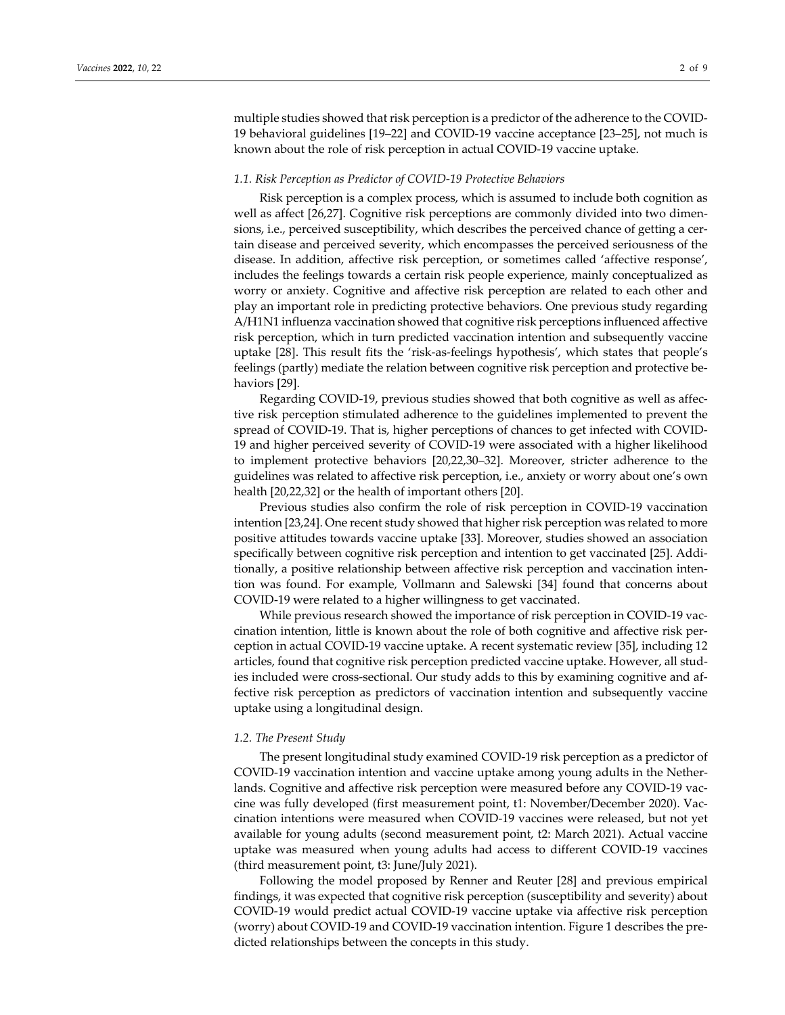multiple studies showed that risk perception is a predictor of the adherence to the COVID-19 behavioral guidelines [19–22] and COVID‐19 vaccine acceptance [23–25], not much is known about the role of risk perception in actual COVID‐19 vaccine uptake.

## *1.1. Risk Perception as Predictor of COVID‐19 Protective Behaviors*

Risk perception is a complex process, which is assumed to include both cognition as well as affect [26,27]. Cognitive risk perceptions are commonly divided into two dimensions, i.e., perceived susceptibility, which describes the perceived chance of getting a certain disease and perceived severity, which encompasses the perceived seriousness of the disease. In addition, affective risk perception, or sometimes called 'affective response', includes the feelings towards a certain risk people experience, mainly conceptualized as worry or anxiety. Cognitive and affective risk perception are related to each other and play an important role in predicting protective behaviors. One previous study regarding A/H1N1 influenza vaccination showed that cognitive risk perceptions influenced affective risk perception, which in turn predicted vaccination intention and subsequently vaccine uptake [28]. This result fits the 'risk‐as‐feelings hypothesis', which states that people's feelings (partly) mediate the relation between cognitive risk perception and protective be‐ haviors [29].

Regarding COVID‐19, previous studies showed that both cognitive as well as affec‐ tive risk perception stimulated adherence to the guidelines implemented to prevent the spread of COVID-19. That is, higher perceptions of chances to get infected with COVID-19 and higher perceived severity of COVID‐19 were associated with a higher likelihood to implement protective behaviors [20,22,30–32]. Moreover, stricter adherence to the guidelines was related to affective risk perception, i.e., anxiety or worry about one's own health [20,22,32] or the health of important others [20].

Previous studies also confirm the role of risk perception in COVID‐19 vaccination intention [23,24]. One recent study showed that higher risk perception was related to more positive attitudes towards vaccine uptake [33]. Moreover, studies showed an association specifically between cognitive risk perception and intention to get vaccinated [25]. Additionally, a positive relationship between affective risk perception and vaccination intention was found. For example, Vollmann and Salewski [34] found that concerns about COVID‐19 were related to a higher willingness to get vaccinated.

While previous research showed the importance of risk perception in COVID-19 vaccination intention, little is known about the role of both cognitive and affective risk per‐ ception in actual COVID‐19 vaccine uptake. A recent systematic review [35], including 12 articles, found that cognitive risk perception predicted vaccine uptake. However, all stud‐ ies included were cross-sectional. Our study adds to this by examining cognitive and affective risk perception as predictors of vaccination intention and subsequently vaccine uptake using a longitudinal design.

## *1.2. The Present Study*

The present longitudinal study examined COVID‐19 risk perception as a predictor of COVID‐19 vaccination intention and vaccine uptake among young adults in the Nether‐ lands. Cognitive and affective risk perception were measured before any COVID-19 vaccine was fully developed (first measurement point, t1: November/December 2020). Vac‐ cination intentions were measured when COVID‐19 vaccines were released, but not yet available for young adults (second measurement point, t2: March 2021). Actual vaccine uptake was measured when young adults had access to different COVID‐19 vaccines (third measurement point, t3: June/July 2021).

Following the model proposed by Renner and Reuter [28] and previous empirical findings, it was expected that cognitive risk perception (susceptibility and severity) about COVID‐19 would predict actual COVID‐19 vaccine uptake via affective risk perception (worry) about COVID‐19 and COVID‐19 vaccination intention. Figure 1 describes the pre‐ dicted relationships between the concepts in this study.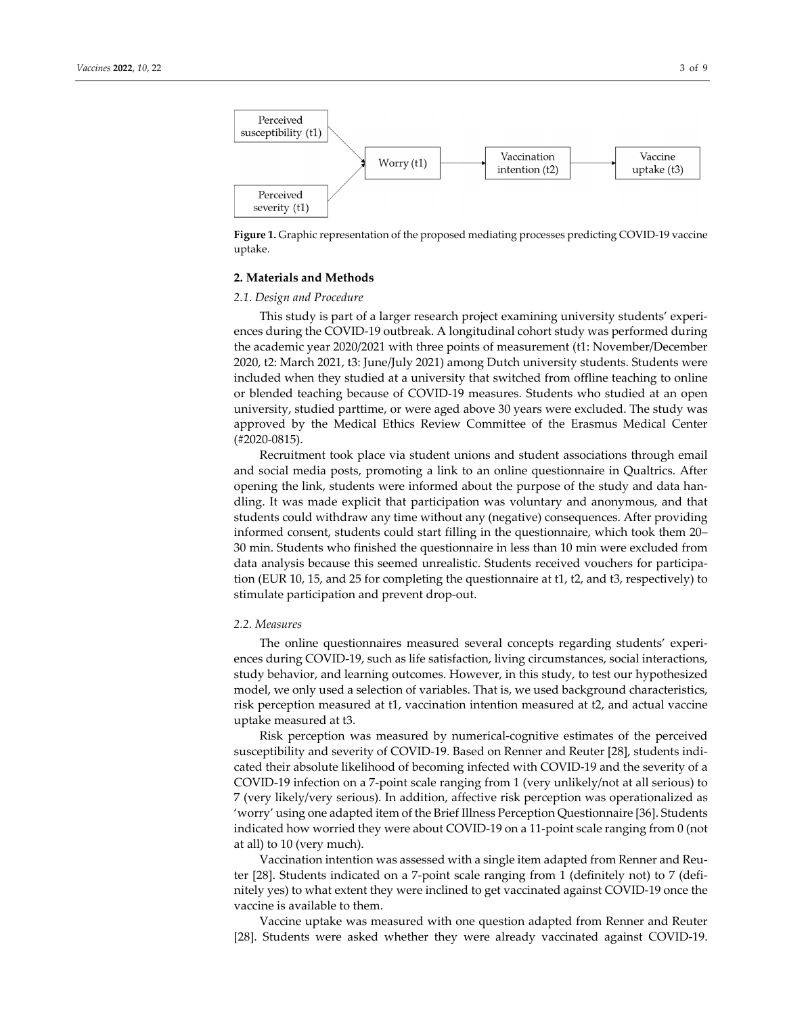

**Figure 1.** Graphic representation of the proposed mediating processes predicting COVID‐19 vaccine uptake.

#### **2. Materials and Methods**

#### *2.1. Design and Procedure*

This study is part of a larger research project examining university students' experi‐ ences during the COVID‐19 outbreak. A longitudinal cohort study was performed during the academic year 2020/2021 with three points of measurement (t1: November/December 2020, t2: March 2021, t3: June/July 2021) among Dutch university students. Students were included when they studied at a university that switched from offline teaching to online or blended teaching because of COVID‐19 measures. Students who studied at an open university, studied parttime, or were aged above 30 years were excluded. The study was approved by the Medical Ethics Review Committee of the Erasmus Medical Center (#2020‐0815).

Recruitment took place via student unions and student associations through email and social media posts, promoting a link to an online questionnaire in Qualtrics. After opening the link, students were informed about the purpose of the study and data han‐ dling. It was made explicit that participation was voluntary and anonymous, and that students could withdraw any time without any (negative) consequences. After providing informed consent, students could start filling in the questionnaire, which took them 20– 30 min. Students who finished the questionnaire in less than 10 min were excluded from data analysis because this seemed unrealistic. Students received vouchers for participa‐ tion (EUR 10, 15, and 25 for completing the questionnaire at t1, t2, and t3, respectively) to stimulate participation and prevent drop‐out.

#### *2.2. Measures*

The online questionnaires measured several concepts regarding students' experiences during COVID‐19, such as life satisfaction, living circumstances, social interactions, study behavior, and learning outcomes. However, in this study, to test our hypothesized model, we only used a selection of variables. That is, we used background characteristics, risk perception measured at t1, vaccination intention measured at t2, and actual vaccine uptake measured at t3.

Risk perception was measured by numerical‐cognitive estimates of the perceived susceptibility and severity of COVID-19. Based on Renner and Reuter [28], students indicated their absolute likelihood of becoming infected with COVID‐19 and the severity of a COVID‐19 infection on a 7‐point scale ranging from 1 (very unlikely/not at all serious) to 7 (very likely/very serious). In addition, affective risk perception was operationalized as 'worry' using one adapted item of the Brief Illness Perception Questionnaire [36]. Students indicated how worried they were about COVID‐19 on a 11‐point scale ranging from 0 (not at all) to 10 (very much).

Vaccination intention was assessed with a single item adapted from Renner and Reu‐ ter [28]. Students indicated on a 7‐point scale ranging from 1 (definitely not) to 7 (defi‐ nitely yes) to what extent they were inclined to get vaccinated against COVID‐19 once the vaccine is available to them.

Vaccine uptake was measured with one question adapted from Renner and Reuter [28]. Students were asked whether they were already vaccinated against COVID‐19.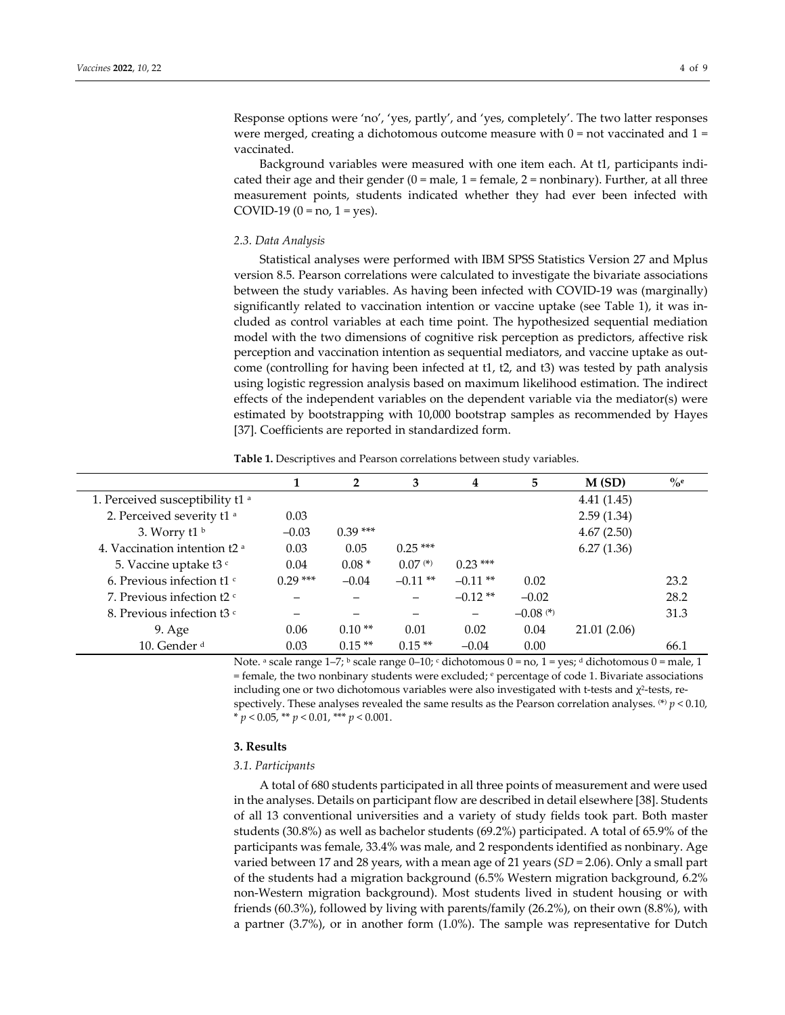Response options were 'no', 'yes, partly', and 'yes, completely'. The two latter responses

were merged, creating a dichotomous outcome measure with  $0 = not$  vaccinated and  $1 =$ vaccinated.

Background variables were measured with one item each. At t1, participants indi‐ cated their age and their gender  $(0 = male, 1 = female, 2 = nonbinary)$ . Further, at all three measurement points, students indicated whether they had ever been infected with COVID-19 (0 = no, 1 = yes).

## *2.3. Data Analysis*

Statistical analyses were performed with IBM SPSS Statistics Version 27 and Mplus version 8.5. Pearson correlations were calculated to investigate the bivariate associations between the study variables. As having been infected with COVID‐19 was (marginally) significantly related to vaccination intention or vaccine uptake (see Table 1), it was in‐ cluded as control variables at each time point. The hypothesized sequential mediation model with the two dimensions of cognitive risk perception as predictors, affective risk perception and vaccination intention as sequential mediators, and vaccine uptake as out‐ come (controlling for having been infected at t1, t2, and t3) was tested by path analysis using logistic regression analysis based on maximum likelihood estimation. The indirect effects of the independent variables on the dependent variable via the mediator(s) were estimated by bootstrapping with 10,000 bootstrap samples as recommended by Hayes [37]. Coefficients are reported in standardized form.

**Table 1.** Descriptives and Pearson correlations between study variables.

|                                                      |           | $\mathbf{2}$ | 3          | 4          | 5                      | M(SD)        | $\%$ e |
|------------------------------------------------------|-----------|--------------|------------|------------|------------------------|--------------|--------|
| 1. Perceived susceptibility t1 a                     |           |              |            |            |                        | 4.41(1.45)   |        |
| 2. Perceived severity t1 <sup>a</sup>                | 0.03      |              |            |            |                        | 2.59(1.34)   |        |
| 3. Worry $t1^b$                                      | $-0.03$   | $0.39***$    |            |            |                        | 4.67(2.50)   |        |
| 4. Vaccination intention t2 a                        | 0.03      | 0.05         | $0.25***$  |            |                        | 6.27(1.36)   |        |
| 5. Vaccine uptake t3 c                               | 0.04      | $0.08*$      | $0.07$ (*) | $0.23***$  |                        |              |        |
| 6. Previous infection $t1$ <sup><math>c</math></sup> | $0.29***$ | $-0.04$      | $-0.11$ ** | $-0.11$ ** | 0.02                   |              | 23.2   |
| 7. Previous infection t2 c                           |           |              |            | $-0.12**$  | $-0.02$                |              | 28.2   |
| 8. Previous infection t3 $\degree$                   |           |              |            | —          | $-0.08$ <sup>(*)</sup> |              | 31.3   |
| 9. Age                                               | 0.06      | $0.10**$     | 0.01       | 0.02       | 0.04                   | 21.01 (2.06) |        |
| 10. Gender <sup>d</sup>                              | 0.03      | $0.15**$     | $0.15**$   | $-0.04$    | 0.00                   |              | 66.1   |

Note. a scale range  $1-7$ ; b scale range  $0-10$ ; c dichotomous  $0 =$  no,  $1 =$  yes; d dichotomous  $0 =$  male, 1  $=$  female, the two nonbinary students were excluded;  $e$  percentage of code 1. Bivariate associations including one or two dichotomous variables were also investigated with t-tests and  $\chi^2$ -tests, respectively. These analyses revealed the same results as the Pearson correlation analyses.  ${}^{(*)}p$  < 0.10,  $* p < 0.05$ ,  $** p < 0.01$ ,  $*** p < 0.001$ .

## **3. Results**

#### *3.1. Participants*

A total of 680 students participated in all three points of measurement and were used in the analyses. Details on participant flow are described in detail elsewhere [38]. Students of all 13 conventional universities and a variety of study fields took part. Both master students (30.8%) as well as bachelor students (69.2%) participated. A total of 65.9% of the participants was female, 33.4% was male, and 2 respondents identified as nonbinary. Age varied between 17 and 28 years, with a mean age of 21 years (*SD* = 2.06). Only a small part of the students had a migration background (6.5% Western migration background, 6.2% non‐Western migration background). Most students lived in student housing or with friends (60.3%), followed by living with parents/family (26.2%), on their own (8.8%), with a partner (3.7%), or in another form (1.0%). The sample was representative for Dutch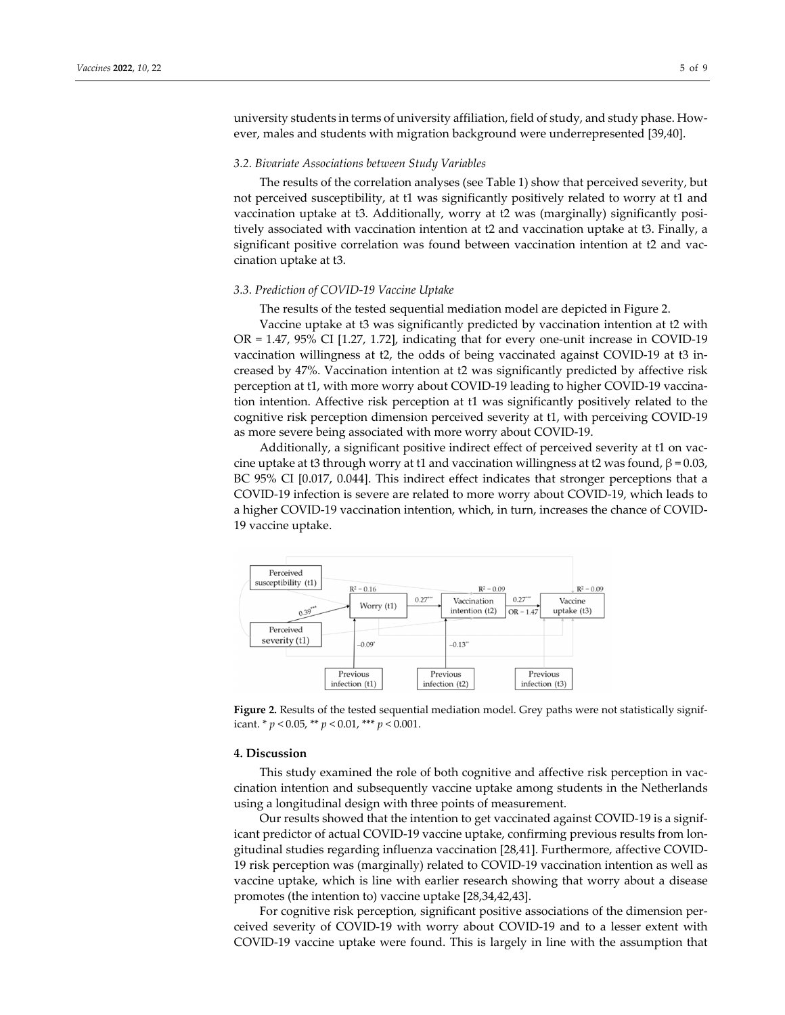university students in terms of university affiliation, field of study, and study phase. However, males and students with migration background were underrepresented [39,40].

#### *3.2. Bivariate Associations between Study Variables*

The results of the correlation analyses (see Table 1) show that perceived severity, but not perceived susceptibility, at t1 was significantly positively related to worry at t1 and vaccination uptake at t3. Additionally, worry at t2 was (marginally) significantly posi‐ tively associated with vaccination intention at t2 and vaccination uptake at t3. Finally, a significant positive correlation was found between vaccination intention at t2 and vaccination uptake at t3.

#### *3.3. Prediction of COVID‐19 Vaccine Uptake*

The results of the tested sequential mediation model are depicted in Figure 2.

Vaccine uptake at t3 was significantly predicted by vaccination intention at t2 with  $OR = 1.47$ , 95% CI [1.27, 1.72], indicating that for every one-unit increase in COVID-19 vaccination willingness at t2, the odds of being vaccinated against COVID‐19 at t3 in‐ creased by 47%. Vaccination intention at t2 was significantly predicted by affective risk perception at t1, with more worry about COVID‐19 leading to higher COVID‐19 vaccina‐ tion intention. Affective risk perception at t1 was significantly positively related to the cognitive risk perception dimension perceived severity at t1, with perceiving COVID‐19 as more severe being associated with more worry about COVID‐19.

Additionally, a significant positive indirect effect of perceived severity at t1 on vac‐ cine uptake at t3 through worry at t1 and vaccination willingness at t2 was found,  $β = 0.03$ , BC 95% CI [0.017, 0.044]. This indirect effect indicates that stronger perceptions that a COVID‐19 infection is severe are related to more worry about COVID‐19, which leads to a higher COVID‐19 vaccination intention, which, in turn, increases the chance of COVID‐ 19 vaccine uptake.



Figure 2. Results of the tested sequential mediation model. Grey paths were not statistically significant. \* *p* < 0.05, \*\* *p* < 0.01, \*\*\* *p* < 0.001.

#### **4. Discussion**

This study examined the role of both cognitive and affective risk perception in vac‐ cination intention and subsequently vaccine uptake among students in the Netherlands using a longitudinal design with three points of measurement.

Our results showed that the intention to get vaccinated against COVID‐19 is a signif‐ icant predictor of actual COVID‐19 vaccine uptake, confirming previous results from lon‐ gitudinal studies regarding influenza vaccination [28,41]. Furthermore, affective COVID‐ 19 risk perception was (marginally) related to COVID‐19 vaccination intention as well as vaccine uptake, which is line with earlier research showing that worry about a disease promotes (the intention to) vaccine uptake [28,34,42,43].

For cognitive risk perception, significant positive associations of the dimension perceived severity of COVID‐19 with worry about COVID‐19 and to a lesser extent with COVID‐19 vaccine uptake were found. This is largely in line with the assumption that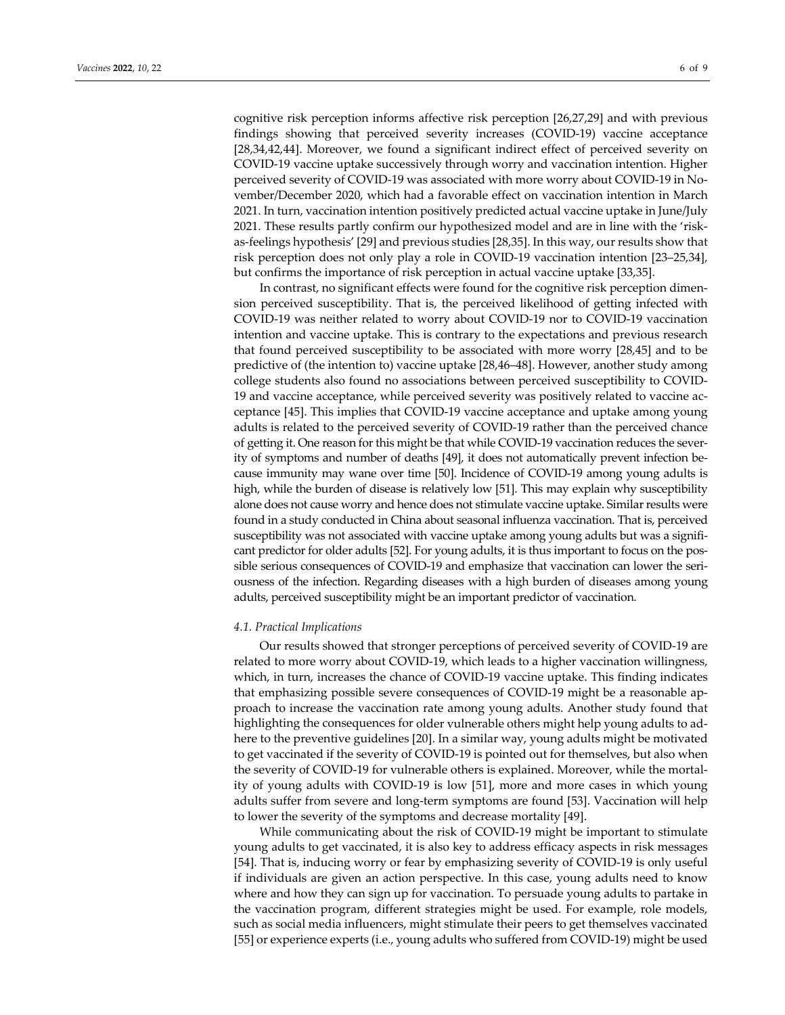cognitive risk perception informs affective risk perception [26,27,29] and with previous findings showing that perceived severity increases (COVID‐19) vaccine acceptance [28,34,42,44]. Moreover, we found a significant indirect effect of perceived severity on COVID‐19 vaccine uptake successively through worry and vaccination intention. Higher perceived severity of COVID‐19 was associated with more worry about COVID‐19 in No‐ vember/December 2020, which had a favorable effect on vaccination intention in March 2021. In turn, vaccination intention positively predicted actual vaccine uptake in June/July 2021. These results partly confirm our hypothesized model and are in line with the 'risk‐ as‐feelings hypothesis' [29] and previous studies [28,35]. In this way, our results show that risk perception does not only play a role in COVID‐19 vaccination intention [23–25,34],

but confirms the importance of risk perception in actual vaccine uptake [33,35].

In contrast, no significant effects were found for the cognitive risk perception dimen‐ sion perceived susceptibility. That is, the perceived likelihood of getting infected with COVID‐19 was neither related to worry about COVID‐19 nor to COVID‐19 vaccination intention and vaccine uptake. This is contrary to the expectations and previous research that found perceived susceptibility to be associated with more worry [28,45] and to be predictive of (the intention to) vaccine uptake [28,46–48]. However, another study among college students also found no associations between perceived susceptibility to COVID‐ 19 and vaccine acceptance, while perceived severity was positively related to vaccine ac‐ ceptance [45]. This implies that COVID‐19 vaccine acceptance and uptake among young adults is related to the perceived severity of COVID‐19 rather than the perceived chance of getting it. One reason forthis might be that while COVID‐19 vaccination reduces the sever‐ ity of symptoms and number of deaths [49], it does not automatically prevent infection be‐ cause immunity may wane over time [50]. Incidence of COVID‐19 among young adults is high, while the burden of disease is relatively low [51]. This may explain why susceptibility alone does not cause worry and hence does not stimulate vaccine uptake. Similar results were found in a study conducted in China about seasonal influenza vaccination. That is, perceived susceptibility was not associated with vaccine uptake among young adults but was a significant predictor for older adults [52]. For young adults, it is thus important to focus on the possible serious consequences of COVID-19 and emphasize that vaccination can lower the seriousness of the infection. Regarding diseases with a high burden of diseases among young adults, perceived susceptibility might be an important predictor of vaccination.

## *4.1. Practical Implications*

Our results showed that stronger perceptions of perceived severity of COVID‐19 are related to more worry about COVID‐19, which leads to a higher vaccination willingness, which, in turn, increases the chance of COVID-19 vaccine uptake. This finding indicates that emphasizing possible severe consequences of COVID‐19 might be a reasonable ap‐ proach to increase the vaccination rate among young adults. Another study found that highlighting the consequences for older vulnerable others might help young adults to ad‐ here to the preventive guidelines [20]. In a similar way, young adults might be motivated to get vaccinated if the severity of COVID‐19 is pointed out for themselves, but also when the severity of COVID‐19 for vulnerable others is explained. Moreover, while the mortal‐ ity of young adults with COVID‐19 is low [51], more and more cases in which young adults suffer from severe and long‐term symptoms are found [53]. Vaccination will help to lower the severity of the symptoms and decrease mortality [49].

While communicating about the risk of COVID-19 might be important to stimulate young adults to get vaccinated, it is also key to address efficacy aspects in risk messages [54]. That is, inducing worry or fear by emphasizing severity of COVID‐19 is only useful if individuals are given an action perspective. In this case, young adults need to know where and how they can sign up for vaccination. To persuade young adults to partake in the vaccination program, different strategies might be used. For example, role models, such as social media influencers, might stimulate their peers to get themselves vaccinated [55] or experience experts (i.e., young adults who suffered from COVID‐19) might be used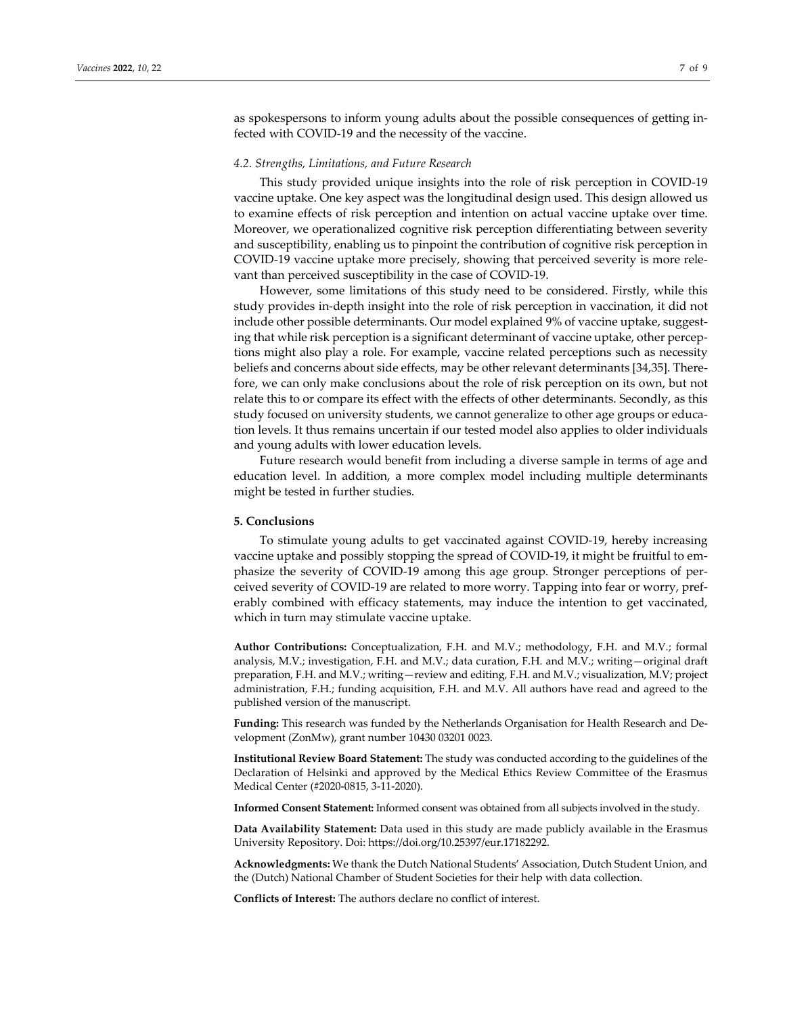as spokespersons to inform young adults about the possible consequences of getting in‐ fected with COVID‐19 and the necessity of the vaccine.

## *4.2. Strengths, Limitations, and Future Research*

This study provided unique insights into the role of risk perception in COVID‐19 vaccine uptake. One key aspect was the longitudinal design used. This design allowed us to examine effects of risk perception and intention on actual vaccine uptake over time. Moreover, we operationalized cognitive risk perception differentiating between severity and susceptibility, enabling us to pinpoint the contribution of cognitive risk perception in COVID‐19 vaccine uptake more precisely, showing that perceived severity is more rele‐ vant than perceived susceptibility in the case of COVID‐19.

However, some limitations of this study need to be considered. Firstly, while this study provides in‐depth insight into the role of risk perception in vaccination, it did not include other possible determinants. Our model explained 9% of vaccine uptake, suggesting that while risk perception is a significant determinant of vaccine uptake, other perceptions might also play a role. For example, vaccine related perceptions such as necessity beliefs and concerns about side effects, may be other relevant determinants [34,35]. Therefore, we can only make conclusions about the role of risk perception on its own, but not relate this to or compare its effect with the effects of other determinants. Secondly, as this study focused on university students, we cannot generalize to other age groups or educa‐ tion levels. It thus remains uncertain if our tested model also applies to older individuals and young adults with lower education levels.

Future research would benefit from including a diverse sample in terms of age and education level. In addition, a more complex model including multiple determinants might be tested in further studies.

## **5. Conclusions**

To stimulate young adults to get vaccinated against COVID‐19, hereby increasing vaccine uptake and possibly stopping the spread of COVID‐19, it might be fruitful to em‐ phasize the severity of COVID‐19 among this age group. Stronger perceptions of per‐ ceived severity of COVID‐19 are related to more worry. Tapping into fear or worry, pref‐ erably combined with efficacy statements, may induce the intention to get vaccinated, which in turn may stimulate vaccine uptake.

**Author Contributions:** Conceptualization, F.H. and M.V.; methodology, F.H. and M.V.; formal analysis, M.V.; investigation, F.H. and M.V.; data curation, F.H. and M.V.; writing—original draft preparation, F.H. and M.V.; writing—review and editing, F.H. and M.V.; visualization, M.V; project administration, F.H.; funding acquisition, F.H. and M.V. All authors have read and agreed to the published version of the manuscript.

**Funding:** This research was funded by the Netherlands Organisation for Health Research and De‐ velopment (ZonMw), grant number 10430 03201 0023.

**Institutional Review Board Statement:** The study was conducted according to the guidelines of the Declaration of Helsinki and approved by the Medical Ethics Review Committee of the Erasmus Medical Center (#2020‐0815, 3‐11‐2020).

**Informed Consent Statement:** Informed consent was obtained from all subjects involved in the study.

**Data Availability Statement:** Data used in this study are made publicly available in the Erasmus University Repository. Doi: https://doi.org/10.25397/eur.17182292.

**Acknowledgments:** We thank the Dutch National Students' Association, Dutch Student Union, and the (Dutch) National Chamber of Student Societies for their help with data collection.

**Conflicts of Interest:** The authors declare no conflict of interest.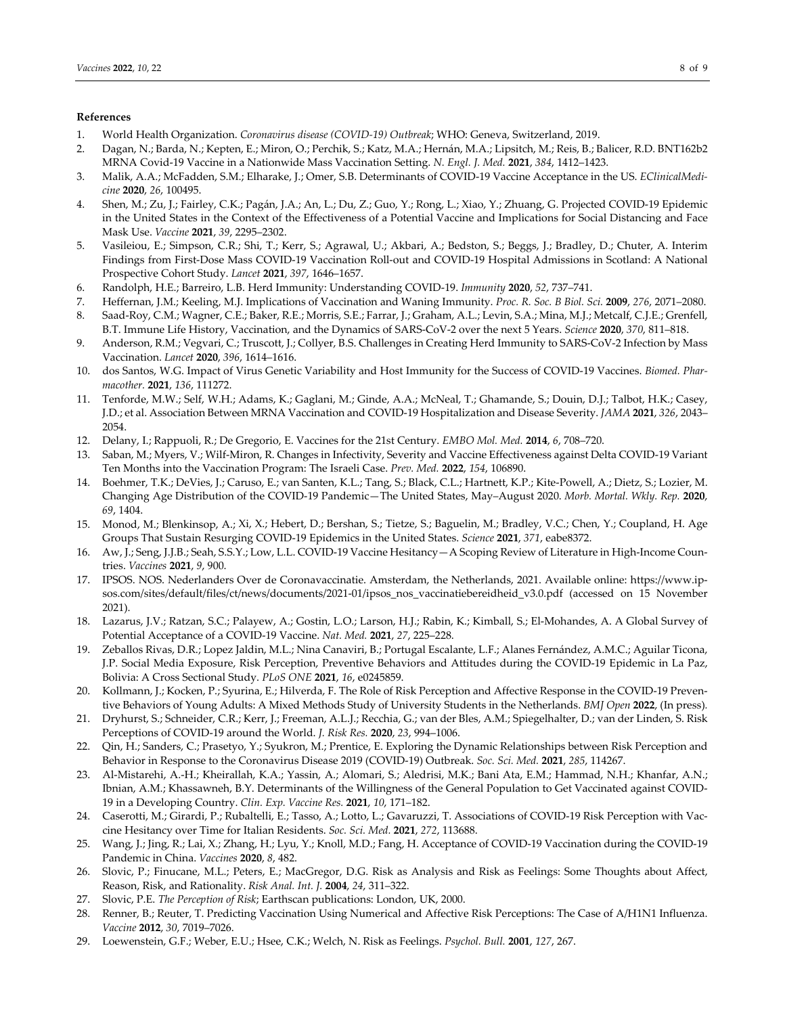## **References**

- 1. World Health Organization. *Coronavirus disease (COVID‐19) Outbreak*; WHO: Geneva, Switzerland, 2019.
- 2. Dagan, N.; Barda, N.; Kepten, E.; Miron, O.; Perchik, S.; Katz, M.A.; Hernán, M.A.; Lipsitch, M.; Reis, B.; Balicer, R.D. BNT162b2 MRNA Covid‐19 Vaccine in a Nationwide Mass Vaccination Setting. *N. Engl. J. Med.* **2021**, *384*, 1412–1423.
- 3. Malik, A.A.; McFadden, S.M.; Elharake, J.; Omer, S.B. Determinants of COVID‐19 Vaccine Acceptance in the US. *EClinicalMedi‐ cine* **2020**, *26*, 100495.
- 4. Shen, M.; Zu, J.; Fairley, C.K.; Pagán, J.A.; An, L.; Du, Z.; Guo, Y.; Rong, L.; Xiao, Y.; Zhuang, G. Projected COVID‐19 Epidemic in the United States in the Context of the Effectiveness of a Potential Vaccine and Implications for Social Distancing and Face Mask Use. *Vaccine* **2021**, *39*, 2295–2302.
- 5. Vasileiou, E.; Simpson, C.R.; Shi, T.; Kerr, S.; Agrawal, U.; Akbari, A.; Bedston, S.; Beggs, J.; Bradley, D.; Chuter, A. Interim Findings from First-Dose Mass COVID-19 Vaccination Roll-out and COVID-19 Hospital Admissions in Scotland: A National Prospective Cohort Study. *Lancet* **2021**, *397*, 1646–1657.
- 6. Randolph, H.E.; Barreiro, L.B. Herd Immunity: Understanding COVID‐19. *Immunity* **2020**, *52*, 737–741.
- 7. Heffernan, J.M.; Keeling, M.J. Implications of Vaccination and Waning Immunity. *Proc. R. Soc. B Biol. Sci.* **2009**, *276*, 2071–2080.
- 8. Saad‐Roy, C.M.; Wagner, C.E.; Baker, R.E.; Morris, S.E.; Farrar, J.; Graham, A.L.; Levin, S.A.; Mina, M.J.; Metcalf, C.J.E.; Grenfell, B.T. Immune Life History, Vaccination, and the Dynamics of SARS‐CoV‐2 over the next 5 Years. *Science* **2020**, *370*, 811–818.
- 9. Anderson, R.M.; Vegvari, C.; Truscott, J.; Collyer, B.S. Challenges in Creating Herd Immunity to SARS-CoV-2 Infection by Mass Vaccination. *Lancet* **2020**, *396*, 1614–1616.
- 10. dos Santos, W.G. Impact of Virus Genetic Variability and Host Immunity for the Success of COVID‐19 Vaccines. *Biomed. Phar‐ macother.* **2021**, *136*, 111272.
- 11. Tenforde, M.W.; Self, W.H.; Adams, K.; Gaglani, M.; Ginde, A.A.; McNeal, T.; Ghamande, S.; Douin, D.J.; Talbot, H.K.; Casey, J.D.; et al. Association Between MRNA Vaccination and COVID‐19 Hospitalization and Disease Severity. *JAMA* **2021**, *326*, 2043– 2054.
- 12. Delany, I.; Rappuoli, R.; De Gregorio, E. Vaccines for the 21st Century. *EMBO Mol. Med.* **2014**, *6*, 708–720.
- 13. Saban, M.; Myers, V.; Wilf‐Miron, R. Changes in Infectivity, Severity and Vaccine Effectiveness against Delta COVID‐19 Variant Ten Months into the Vaccination Program: The Israeli Case. *Prev. Med.* **2022**, *154*, 106890.
- 14. Boehmer, T.K.; DeVies, J.; Caruso, E.; van Santen, K.L.; Tang, S.; Black, C.L.; Hartnett, K.P.; Kite‐Powell, A.; Dietz, S.; Lozier, M. Changing Age Distribution of the COVID‐19 Pandemic—The United States, May–August 2020. *Morb. Mortal. Wkly. Rep.* **2020**, *69*, 1404.
- 15. Monod, M.; Blenkinsop, A.; Xi, X.; Hebert, D.; Bershan, S.; Tietze, S.; Baguelin, M.; Bradley, V.C.; Chen, Y.; Coupland, H. Age Groups That Sustain Resurging COVID‐19 Epidemics in the United States. *Science* **2021**, *371*, eabe8372.
- 16. Aw, J.; Seng, J.J.B.; Seah, S.S.Y.; Low, L.L. COVID-19 Vaccine Hesitancy—A Scoping Review of Literature in High-Income Countries. *Vaccines* **2021**, *9*, 900.
- 17. IPSOS. NOS. Nederlanders Over de Coronavaccinatie. Amsterdam, the Netherlands, 2021. Available online: https://www.ip‐ sos.com/sites/default/files/ct/news/documents/2021‐01/ipsos\_nos\_vaccinatiebereidheid\_v3.0.pdf (accessed on 15 November 2021).
- 18. Lazarus, J.V.; Ratzan, S.C.; Palayew, A.; Gostin, L.O.; Larson, H.J.; Rabin, K.; Kimball, S.; El‐Mohandes, A. A Global Survey of Potential Acceptance of a COVID‐19 Vaccine. *Nat. Med.* **2021**, *27*, 225–228.
- 19. Zeballos Rivas, D.R.; Lopez Jaldin, M.L.; Nina Canaviri, B.; Portugal Escalante, L.F.; Alanes Fernández, A.M.C.; Aguilar Ticona, J.P. Social Media Exposure, Risk Perception, Preventive Behaviors and Attitudes during the COVID‐19 Epidemic in La Paz, Bolivia: A Cross Sectional Study. *PLoS ONE* **2021**, *16*, e0245859.
- 20. Kollmann, J.; Kocken, P.; Syurina, E.; Hilverda, F. The Role of Risk Perception and Affective Response in the COVID‐19 Preven‐ tive Behaviors of Young Adults: A Mixed Methods Study of University Students in the Netherlands. *BMJ Open* **2022**, (In press)*.*
- 21. Dryhurst, S.; Schneider, C.R.; Kerr, J.; Freeman, A.L.J.; Recchia, G.; van der Bles, A.M.; Spiegelhalter, D.; van der Linden, S. Risk Perceptions of COVID‐19 around the World. *J. Risk Res.* **2020**, *23*, 994–1006.
- 22. Qin, H.; Sanders, C.; Prasetyo, Y.; Syukron, M.; Prentice, E. Exploring the Dynamic Relationships between Risk Perception and Behavior in Response to the Coronavirus Disease 2019 (COVID‐19) Outbreak. *Soc. Sci. Med.* **2021**, *285*, 114267.
- 23. Al‐Mistarehi, A.‐H.; Kheirallah, K.A.; Yassin, A.; Alomari, S.; Aledrisi, M.K.; Bani Ata, E.M.; Hammad, N.H.; Khanfar, A.N.; Ibnian, A.M.; Khassawneh, B.Y. Determinants of the Willingness of the General Population to Get Vaccinated against COVID‐ 19 in a Developing Country. *Clin. Exp. Vaccine Res.* **2021**, *10*, 171–182.
- 24. Caserotti, M.; Girardi, P.; Rubaltelli, E.; Tasso, A.; Lotto, L.; Gavaruzzi, T. Associations of COVID-19 Risk Perception with Vaccine Hesitancy over Time for Italian Residents. *Soc. Sci. Med.* **2021**, *272*, 113688.
- 25. Wang, J.; Jing, R.; Lai, X.; Zhang, H.; Lyu, Y.; Knoll, M.D.; Fang, H. Acceptance of COVID‐19 Vaccination during the COVID‐19 Pandemic in China. *Vaccines* **2020**, *8*, 482.
- 26. Slovic, P.; Finucane, M.L.; Peters, E.; MacGregor, D.G. Risk as Analysis and Risk as Feelings: Some Thoughts about Affect, Reason, Risk, and Rationality. *Risk Anal. Int. J.* **2004**, *24*, 311–322.
- 27. Slovic, P.E. *The Perception of Risk*; Earthscan publications: London, UK, 2000.
- 28. Renner, B.; Reuter, T. Predicting Vaccination Using Numerical and Affective Risk Perceptions: The Case of A/H1N1 Influenza. *Vaccine* **2012**, *30*, 7019–7026.
- 29. Loewenstein, G.F.; Weber, E.U.; Hsee, C.K.; Welch, N. Risk as Feelings. *Psychol. Bull.* **2001**, *127*, 267.